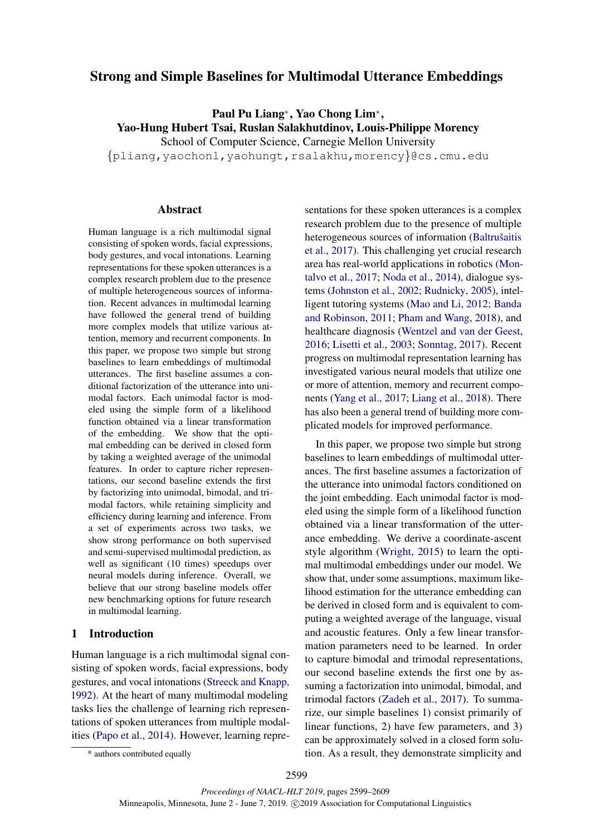# <span id="page-0-1"></span>Strong and Simple Baselines for Multimodal Utterance Embeddings

Paul Pu Liang<sup>\*</sup>, Yao Chong Lim<sup>\*</sup>, Yao-Hung Hubert Tsai, Ruslan Salakhutdinov, Louis-Philippe Morency School of Computer Science, Carnegie Mellon University

{pliang,yaochonl,yaohungt,rsalakhu,morency}@cs.cmu.edu

#### Abstract

Human language is a rich multimodal signal consisting of spoken words, facial expressions, body gestures, and vocal intonations. Learning representations for these spoken utterances is a complex research problem due to the presence of multiple heterogeneous sources of information. Recent advances in multimodal learning have followed the general trend of building more complex models that utilize various attention, memory and recurrent components. In this paper, we propose two simple but strong baselines to learn embeddings of multimodal utterances. The first baseline assumes a conditional factorization of the utterance into unimodal factors. Each unimodal factor is modeled using the simple form of a likelihood function obtained via a linear transformation of the embedding. We show that the optimal embedding can be derived in closed form by taking a weighted average of the unimodal features. In order to capture richer representations, our second baseline extends the first by factorizing into unimodal, bimodal, and trimodal factors, while retaining simplicity and efficiency during learning and inference. From a set of experiments across two tasks, we show strong performance on both supervised and semi-supervised multimodal prediction, as well as significant (10 times) speedups over neural models during inference. Overall, we believe that our strong baseline models offer new benchmarking options for future research in multimodal learning[.](#page-0-0)

## 1 Introduction

Human language is a rich multimodal signal consisting of spoken words, facial expressions, body gestures, and vocal intonations [\(Streeck and Knapp,](#page-10-0) [1992\)](#page-10-0). At the heart of many multimodal modeling tasks lies the challenge of learning rich representations of spoken utterances from multiple modalities [\(Papo et al.,](#page-9-0) [2014\)](#page-9-0). However, learning repre-

<span id="page-0-0"></span>\* authors contributed equally

sentations for these spoken utterances is a complex research problem due to the presence of multiple heterogeneous sources of information (Baltrušaitis [et al.,](#page-8-0) [2017\)](#page-8-0). This challenging yet crucial research area has real-world applications in robotics [\(Mon](#page-9-1)[talvo et al.,](#page-9-1) [2017;](#page-9-1) [Noda et al.,](#page-9-2) [2014\)](#page-9-2), dialogue systems [\(Johnston et al.,](#page-9-3) [2002;](#page-9-3) [Rudnicky,](#page-9-4) [2005\)](#page-9-4), intelligent tutoring systems [\(Mao and Li,](#page-9-5) [2012;](#page-9-5) [Banda](#page-8-1) [and Robinson,](#page-8-1) [2011;](#page-8-1) [Pham and Wang,](#page-9-6) [2018\)](#page-9-6), and healthcare diagnosis [\(Wentzel and van der Geest,](#page-10-1) [2016;](#page-10-1) [Lisetti et al.,](#page-9-7) [2003;](#page-9-7) [Sonntag,](#page-10-2) [2017\)](#page-10-2). Recent progress on multimodal representation learning has investigated various neural models that utilize one or more of attention, memory and recurrent components [\(Yang et al.,](#page-10-3) [2017;](#page-10-3) [Liang et al.,](#page-9-8) [2018\)](#page-9-8). There has also been a general trend of building more complicated models for improved performance.

In this paper, we propose two simple but strong baselines to learn embeddings of multimodal utterances. The first baseline assumes a factorization of the utterance into unimodal factors conditioned on the joint embedding. Each unimodal factor is modeled using the simple form of a likelihood function obtained via a linear transformation of the utterance embedding. We derive a coordinate-ascent style algorithm [\(Wright,](#page-10-4) [2015\)](#page-10-4) to learn the optimal multimodal embeddings under our model. We show that, under some assumptions, maximum likelihood estimation for the utterance embedding can be derived in closed form and is equivalent to computing a weighted average of the language, visual and acoustic features. Only a few linear transformation parameters need to be learned. In order to capture bimodal and trimodal representations, our second baseline extends the first one by assuming a factorization into unimodal, bimodal, and trimodal factors [\(Zadeh et al.,](#page-10-5) [2017\)](#page-10-5). To summarize, our simple baselines 1) consist primarily of linear functions, 2) have few parameters, and 3) can be approximately solved in a closed form solution. As a result, they demonstrate simplicity and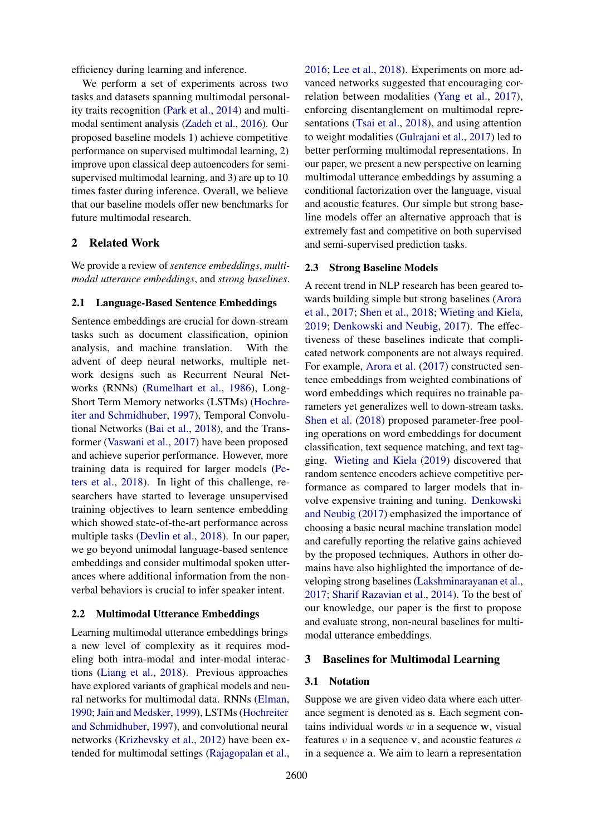efficiency during learning and inference.

We perform a set of experiments across two tasks and datasets spanning multimodal personality traits recognition [\(Park et al.,](#page-9-9) [2014\)](#page-9-9) and multimodal sentiment analysis [\(Zadeh et al.,](#page-10-6) [2016\)](#page-10-6). Our proposed baseline models 1) achieve competitive performance on supervised multimodal learning, 2) improve upon classical deep autoencoders for semisupervised multimodal learning, and 3) are up to 10 times faster during inference. Overall, we believe that our baseline models offer new benchmarks for future multimodal research.

## 2 Related Work

We provide a review of *sentence embeddings*, *multimodal utterance embeddings*, and *strong baselines*.

#### 2.1 Language-Based Sentence Embeddings

Sentence embeddings are crucial for down-stream tasks such as document classification, opinion analysis, and machine translation. With the advent of deep neural networks, multiple network designs such as Recurrent Neural Networks (RNNs) [\(Rumelhart et al.,](#page-10-7) [1986\)](#page-10-7), Long-Short Term Memory networks (LSTMs) [\(Hochre](#page-9-10)[iter and Schmidhuber,](#page-9-10) [1997\)](#page-9-10), Temporal Convolutional Networks [\(Bai et al.,](#page-8-2) [2018\)](#page-8-2), and the Transformer [\(Vaswani et al.,](#page-10-8) [2017\)](#page-10-8) have been proposed and achieve superior performance. However, more training data is required for larger models [\(Pe](#page-9-11)[ters et al.,](#page-9-11) [2018\)](#page-9-11). In light of this challenge, researchers have started to leverage unsupervised training objectives to learn sentence embedding which showed state-of-the-art performance across multiple tasks [\(Devlin et al.,](#page-8-3) [2018\)](#page-8-3). In our paper, we go beyond unimodal language-based sentence embeddings and consider multimodal spoken utterances where additional information from the nonverbal behaviors is crucial to infer speaker intent.

### 2.2 Multimodal Utterance Embeddings

Learning multimodal utterance embeddings brings a new level of complexity as it requires modeling both intra-modal and inter-modal interactions [\(Liang et al.,](#page-9-8) [2018\)](#page-9-8). Previous approaches have explored variants of graphical models and neural networks for multimodal data. RNNs [\(Elman,](#page-8-4) [1990;](#page-8-4) [Jain and Medsker,](#page-9-12) [1999\)](#page-9-12), LSTMs [\(Hochreiter](#page-9-10) [and Schmidhuber,](#page-9-10) [1997\)](#page-9-10), and convolutional neural networks [\(Krizhevsky et al.,](#page-9-13) [2012\)](#page-9-13) have been extended for multimodal settings [\(Rajagopalan et al.,](#page-9-14)

[2016;](#page-9-14) [Lee et al.,](#page-9-15) [2018\)](#page-9-15). Experiments on more advanced networks suggested that encouraging correlation between modalities [\(Yang et al.,](#page-10-3) [2017\)](#page-10-3), enforcing disentanglement on multimodal representations [\(Tsai et al.,](#page-10-9) [2018\)](#page-10-9), and using attention to weight modalities [\(Gulrajani et al.,](#page-8-5) [2017\)](#page-8-5) led to better performing multimodal representations. In our paper, we present a new perspective on learning multimodal utterance embeddings by assuming a conditional factorization over the language, visual and acoustic features. Our simple but strong baseline models offer an alternative approach that is extremely fast and competitive on both supervised and semi-supervised prediction tasks.

#### 2.3 Strong Baseline Models

A recent trend in NLP research has been geared towards building simple but strong baselines [\(Arora](#page-8-6) [et al.,](#page-8-6) [2017;](#page-8-6) [Shen et al.,](#page-10-10) [2018;](#page-10-10) [Wieting and Kiela,](#page-10-11) [2019;](#page-10-11) [Denkowski and Neubig,](#page-8-7) [2017\)](#page-8-7). The effectiveness of these baselines indicate that complicated network components are not always required. For example, [Arora et al.](#page-8-6) [\(2017\)](#page-8-6) constructed sentence embeddings from weighted combinations of word embeddings which requires no trainable parameters yet generalizes well to down-stream tasks. [Shen et al.](#page-10-10) [\(2018\)](#page-10-10) proposed parameter-free pooling operations on word embeddings for document classification, text sequence matching, and text tagging. [Wieting and Kiela](#page-10-11) [\(2019\)](#page-10-11) discovered that random sentence encoders achieve competitive performance as compared to larger models that involve expensive training and tuning. [Denkowski](#page-8-7) [and Neubig](#page-8-7) [\(2017\)](#page-8-7) emphasized the importance of choosing a basic neural machine translation model and carefully reporting the relative gains achieved by the proposed techniques. Authors in other domains have also highlighted the importance of developing strong baselines [\(Lakshminarayanan et al.,](#page-9-16) [2017;](#page-9-16) [Sharif Razavian et al.,](#page-10-12) [2014\)](#page-10-12). To the best of our knowledge, our paper is the first to propose and evaluate strong, non-neural baselines for multimodal utterance embeddings.

#### 3 Baselines for Multimodal Learning

#### 3.1 Notation

Suppose we are given video data where each utterance segment is denoted as s. Each segment contains individual words  $w$  in a sequence  $w$ , visual features  $v$  in a sequence  $v$ , and acoustic features  $a$ in a sequence a. We aim to learn a representation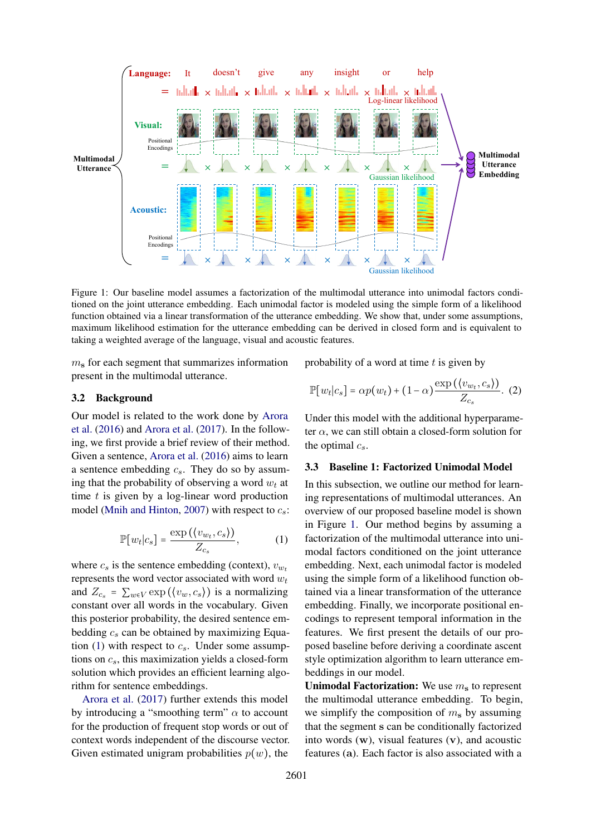<span id="page-2-1"></span>

Figure 1: Our baseline model assumes a factorization of the multimodal utterance into unimodal factors conditioned on the joint utterance embedding. Each unimodal factor is modeled using the simple form of a likelihood function obtained via a linear transformation of the utterance embedding. We show that, under some assumptions, maximum likelihood estimation for the utterance embedding can be derived in closed form and is equivalent to taking a weighted average of the language, visual and acoustic features.

 $m<sub>s</sub>$  for each segment that summarizes information present in the multimodal utterance.

#### 3.2 Background

Our model is related to the work done by [Arora](#page-8-8) [et al.](#page-8-8) [\(2016\)](#page-8-8) and [Arora et al.](#page-8-6) [\(2017\)](#page-8-6). In the following, we first provide a brief review of their method. Given a sentence, [Arora et al.](#page-8-8) [\(2016\)](#page-8-8) aims to learn a sentence embedding  $c_s$ . They do so by assuming that the probability of observing a word  $w_t$  at time  $t$  is given by a log-linear word production model [\(Mnih and Hinton,](#page-9-17) [2007\)](#page-9-17) with respect to  $c_s$ :

$$
\mathbb{P}[w_t|c_s] = \frac{\exp\left(\langle v_{w_t}, c_s \rangle\right)}{Z_{c_s}},\tag{1}
$$

<span id="page-2-0"></span>where  $c_s$  is the sentence embedding (context),  $v_{w_t}$ represents the word vector associated with word  $w_t$ and  $Z_{c_s} = \sum_{w \in V} \exp(\langle v_w, c_s \rangle)$  is a normalizing constant over all words in the vocabulary. Given this posterior probability, the desired sentence embedding  $c_s$  can be obtained by maximizing Equa-tion [\(1\)](#page-2-0) with respect to  $c_s$ . Under some assumptions on  $c_s$ , this maximization yields a closed-form solution which provides an efficient learning algorithm for sentence embeddings.

[Arora et al.](#page-8-6) [\(2017\)](#page-8-6) further extends this model by introducing a "smoothing term"  $\alpha$  to account for the production of frequent stop words or out of context words independent of the discourse vector. Given estimated unigram probabilities  $p(w)$ , the

probability of a word at time  $t$  is given by

<span id="page-2-2"></span>
$$
\mathbb{P}[w_t|c_s] = \alpha p(w_t) + (1-\alpha) \frac{\exp(\langle v_{w_t}, c_s \rangle)}{Z_{c_s}}.
$$
 (2)

Under this model with the additional hyperparameter  $\alpha$ , we can still obtain a closed-form solution for the optimal  $c_s$ .

#### 3.3 Baseline 1: Factorized Unimodal Model

In this subsection, we outline our method for learning representations of multimodal utterances. An overview of our proposed baseline model is shown in Figure [1.](#page-2-1) Our method begins by assuming a factorization of the multimodal utterance into unimodal factors conditioned on the joint utterance embedding. Next, each unimodal factor is modeled using the simple form of a likelihood function obtained via a linear transformation of the utterance embedding. Finally, we incorporate positional encodings to represent temporal information in the features. We first present the details of our proposed baseline before deriving a coordinate ascent style optimization algorithm to learn utterance embeddings in our model.

Unimodal Factorization: We use  $m<sub>s</sub>$  to represent the multimodal utterance embedding. To begin, we simplify the composition of  $m<sub>s</sub>$  by assuming that the segment s can be conditionally factorized into words (w), visual features (v), and acoustic features (a). Each factor is also associated with a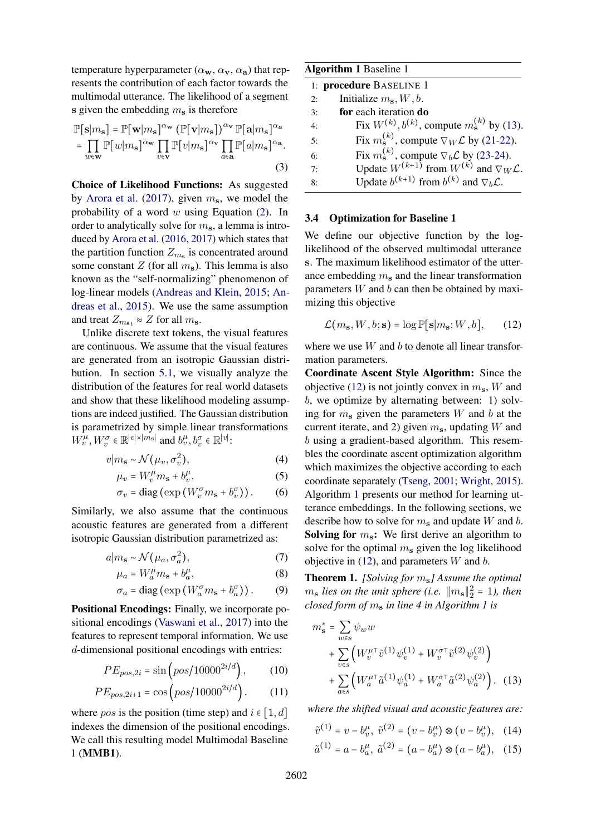temperature hyperparameter  $(\alpha_{\bf w}, \alpha_{\bf v}, \alpha_{\bf a})$  that represents the contribution of each factor towards the multimodal utterance. The likelihood of a segment s given the embedding  $m<sub>s</sub>$  is therefore

$$
\mathbb{P}[\mathbf{s}|m_{\mathbf{s}}] = \mathbb{P}[\mathbf{w}|m_{\mathbf{s}}]^{\alpha_{\mathbf{w}}} (\mathbb{P}[\mathbf{v}|m_{\mathbf{s}}])^{\alpha_{\mathbf{v}}} \mathbb{P}[\mathbf{a}|m_{\mathbf{s}}]^{\alpha_{\mathbf{a}}}
$$

$$
= \prod_{w \in \mathbf{w}} \mathbb{P}[w|m_{\mathbf{s}}]^{\alpha_{\mathbf{w}}} \prod_{v \in \mathbf{v}} \mathbb{P}[v|m_{\mathbf{s}}]^{\alpha_{\mathbf{v}}} \prod_{a \in \mathbf{a}} \mathbb{P}[a|m_{\mathbf{s}}]^{\alpha_{\mathbf{a}}}.
$$
(3)

Choice of Likelihood Functions: As suggested by [Arora et al.](#page-8-6) [\(2017\)](#page-8-6), given  $m_s$ , we model the probability of a word  $w$  using Equation [\(2\)](#page-2-2). In order to analytically solve for  $m_s$ , a lemma is introduced by [Arora et al.](#page-8-8) [\(2016,](#page-8-8) [2017\)](#page-8-6) which states that the partition function  $Z_{m_s}$  is concentrated around some constant Z (for all  $m_s$ ). This lemma is also known as the "self-normalizing" phenomenon of log-linear models [\(Andreas and Klein,](#page-8-9) [2015;](#page-8-9) [An](#page-8-10)[dreas et al.,](#page-8-10) [2015\)](#page-8-10). We use the same assumption and treat  $Z_{m_{s}t} \approx Z$  for all  $m_{s}$ .

Unlike discrete text tokens, the visual features are continuous. We assume that the visual features are generated from an isotropic Gaussian distribution. In section [5.1,](#page-6-0) we visually analyze the distribution of the features for real world datasets and show that these likelihood modeling assumptions are indeed justified. The Gaussian distribution is parametrized by simple linear transformations  $W_v^{\mu}, W_v^{\sigma} \in \mathbb{R}^{|v| \times |m_{\mathbf{s}}|}$  and  $b_v^{\mu}, b_v^{\sigma} \in \mathbb{R}^{|v|}$ :

$$
v|m_{\mathbf{s}} \sim \mathcal{N}(\mu_v, \sigma_v^2),\tag{4}
$$

$$
\mu_v = W_v^{\mu} m_s + b_v^{\mu}, \qquad (5)
$$

$$
\sigma_v = \text{diag}\left(\exp\left(W_v^{\sigma} m_{\mathbf{s}} + b_v^{\sigma}\right)\right). \tag{6}
$$

Similarly, we also assume that the continuous acoustic features are generated from a different isotropic Gaussian distribution parametrized as:

$$
a|m_{\mathbf{s}} \sim \mathcal{N}(\mu_a, \sigma_a^2),\tag{7}
$$

$$
\mu_a = W_a^{\mu} m_s + b_a^{\mu}, \qquad (8)
$$

$$
\sigma_a = \text{diag}\left(\exp\left(W_a^{\sigma} m_{\mathbf{s}} + b_a^{\sigma}\right)\right). \tag{9}
$$

Positional Encodings: Finally, we incorporate positional encodings [\(Vaswani et al.,](#page-10-8) [2017\)](#page-10-8) into the features to represent temporal information. We use d-dimensional positional encodings with entries:

$$
PE_{pos,2i} = \sin(pos/10000^{2i/d}),
$$
 (10)

$$
PE_{pos,2i+1} = \cos(pos/10000^{2i/d}).
$$
 (11)

where *pos* is the position (time step) and  $i \in [1, d]$ indexes the dimension of the positional encodings. We call this resulting model Multimodal Baseline 1 (MMB1).

<span id="page-3-2"></span>

| <b>Algorithm 1 Baseline 1</b> |                                                                |  |  |  |  |  |  |
|-------------------------------|----------------------------------------------------------------|--|--|--|--|--|--|
| 1: procedure BASELINE 1       |                                                                |  |  |  |  |  |  |
| 2:                            | Initialize $m_s$ , $W$ , $b$ .                                 |  |  |  |  |  |  |
| 3:                            | for each iteration do                                          |  |  |  |  |  |  |
| 4:                            | Fix $W^{(k)}$ , $b^{(k)}$ , compute $m_s^{(k)}$ by (13).       |  |  |  |  |  |  |
| 5:                            | Fix $m_s^{(k)}$ , compute $\nabla_W \mathcal{L}$ by (21-22).   |  |  |  |  |  |  |
| 6:                            | Fix $m_s^{(k)}$ , compute $\nabla_b \mathcal{L}$ by (23-24).   |  |  |  |  |  |  |
| 7:                            | Update $W^{(k+1)}$ from $W^{(k)}$ and $\nabla_W \mathcal{L}$ . |  |  |  |  |  |  |
| 8:                            | Update $b^{(k+1)}$ from $b^{(k)}$ and $\nabla_b \mathcal{L}$ . |  |  |  |  |  |  |

#### <span id="page-3-5"></span><span id="page-3-3"></span>3.4 Optimization for Baseline 1

We define our objective function by the loglikelihood of the observed multimodal utterance s. The maximum likelihood estimator of the utterance embedding  $m_s$  and the linear transformation parameters  $W$  and  $b$  can then be obtained by maximizing this objective

<span id="page-3-1"></span>
$$
\mathcal{L}(m_{\mathbf{s}}, W, b; \mathbf{s}) = \log \mathbb{P}[\mathbf{s}|m_{\mathbf{s}}; W, b], \qquad (12)
$$

where we use  $W$  and  $b$  to denote all linear transformation parameters.

<span id="page-3-4"></span>Coordinate Ascent Style Algorithm: Since the objective [\(12\)](#page-3-1) is not jointly convex in  $m_s$ , W and b, we optimize by alternating between: 1) solving for  $m_s$  given the parameters W and b at the current iterate, and 2) given  $m_s$ , updating W and b using a gradient-based algorithm. This resembles the coordinate ascent optimization algorithm which maximizes the objective according to each coordinate separately [\(Tseng,](#page-10-13) [2001;](#page-10-13) [Wright,](#page-10-4) [2015\)](#page-10-4). Algorithm [1](#page-3-2) presents our method for learning utterance embeddings. In the following sections, we describe how to solve for  $m_s$  and update W and b. **Solving for**  $m_s$ **:** We first derive an algorithm to solve for the optimal  $m_s$  given the log likelihood objective in  $(12)$ , and parameters W and b.

<span id="page-3-6"></span>Theorem 1. *[Solving for* ms*] Assume the optimal*  $m_s$  *lies on the unit sphere (i.e.*  $||m_s||_2^2 = 1$ *), then closed form of* m<sup>s</sup> *in line 4 in Algorithm [1](#page-3-2) is*

$$
m_{s}^{*} = \sum_{w \in s} \psi_{w} w
$$
  
+ 
$$
\sum_{v \in s} \left( W_{v}^{\mu \tau} \tilde{v}^{(1)} \psi_{v}^{(1)} + W_{v}^{\sigma \tau} \tilde{v}^{(2)} \psi_{v}^{(2)} \right)
$$
  
+ 
$$
\sum_{a \in s} \left( W_{a}^{\mu \tau} \tilde{a}^{(1)} \psi_{a}^{(1)} + W_{a}^{\sigma \tau} \tilde{a}^{(2)} \psi_{a}^{(2)} \right). (13)
$$

*where the shifted visual and acoustic features are:*

<span id="page-3-0"></span> $\tilde{v}^{(1)} = v - b_v^{\mu}, \ \tilde{v}^{(2)} = (v - b_v^{\mu}) \otimes (v - b_v^{\mu}), \quad (14)$ 

$$
\tilde{a}^{(1)} = a - b_a^{\mu}, \; \tilde{a}^{(2)} = (a - b_a^{\mu}) \otimes (a - b_a^{\mu}), \quad (15)
$$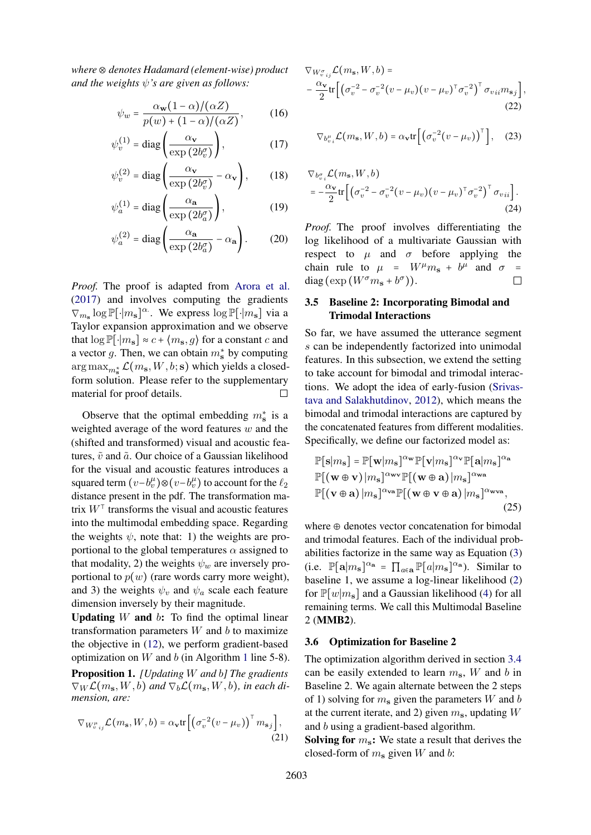*where* ⊗ *denotes Hadamard (element-wise) product and the weights* ψ*'s are given as follows:*

$$
\psi_w = \frac{\alpha_{\mathbf{w}}(1-\alpha)/(\alpha Z)}{p(w) + (1-\alpha)/(\alpha Z)},\tag{16}
$$

$$
\psi_v^{(1)} = \text{diag}\left(\frac{\alpha_v}{\exp(2b_v^{\sigma})}\right),\tag{17}
$$

$$
\psi_v^{(2)} = \text{diag}\left(\frac{\alpha_v}{\exp(2b_v^{\sigma})} - \alpha_v\right),\qquad(18)
$$

$$
\psi_a^{(1)} = \text{diag}\left(\frac{\alpha_a}{\exp(2b_a^{\sigma})}\right),\tag{19}
$$

$$
\psi_a^{(2)} = \text{diag}\left(\frac{\alpha_\mathbf{a}}{\exp\left(2b_a^{\sigma}\right)} - \alpha_\mathbf{a}\right). \tag{20}
$$

*Proof.* The proof is adapted from [Arora et al.](#page-8-6) [\(2017\)](#page-8-6) and involves computing the gradients  $\nabla_{m_{\mathbf{s}}} \log \mathbb{P}[\cdot | m_{\mathbf{s}}]^{\alpha}$ . We express  $\log \mathbb{P}[\cdot | m_{\mathbf{s}}]$  via a Taylor expansion approximation and we observe that  $\log \mathbb{P}[\cdot|m_{s}] \approx c + \langle m_{s}, g \rangle$  for a constant c and a vector g. Then, we can obtain  $m_s^*$  by computing  $\argmax_{m_{\mathbf{s}}^*}\mathcal{L}(m_{\mathbf{s}},W,b;\mathbf{s})$  which yields a closedform solution. Please refer to the supplementary material for proof details.  $\Box$ 

Observe that the optimal embedding  $m<sub>s</sub><sup>*</sup>$  is a weighted average of the word features  $w$  and the (shifted and transformed) visual and acoustic features,  $\tilde{v}$  and  $\tilde{a}$ . Our choice of a Gaussian likelihood for the visual and acoustic features introduces a squared term  $(v - b_v^{\mu}) \otimes (v - b_v^{\mu})$  to account for the  $\ell_2$ distance present in the pdf. The transformation matrix  $W^{\dagger}$  transforms the visual and acoustic features into the multimodal embedding space. Regarding the weights  $\psi$ , note that: 1) the weights are proportional to the global temperatures  $\alpha$  assigned to that modality, 2) the weights  $\psi_w$  are inversely proportional to  $p(w)$  (rare words carry more weight), and 3) the weights  $\psi_v$  and  $\psi_a$  scale each feature dimension inversely by their magnitude.

**Updating** W and  $b$ : To find the optimal linear transformation parameters  $W$  and  $b$  to maximize the objective in [\(12\)](#page-3-1), we perform gradient-based optimization on  $W$  and  $b$  (in Algorithm [1](#page-3-2) line 5-8).

<span id="page-4-4"></span>Proposition 1. *[Updating* W *and* b*] The gradients*  $\nabla_W \mathcal{L}(m_\mathbf{s}, W, b)$  and  $\nabla_b \mathcal{L}(m_\mathbf{s}, W, b)$ , in each di*mension, are:*

$$
\nabla_{W_{v\,ij}^{\mu}}\mathcal{L}(m_{\mathbf{s}},W,b) = \alpha_{\mathbf{v}} \text{tr}\left[\left(\sigma_{v}^{-2}(v-\mu_{v})\right)^{\top}m_{\mathbf{s}j}\right],\tag{21}
$$

$$
\nabla_{W_{v_{ij}}^{\sigma}} \mathcal{L}(m_{s}, W, b) =
$$
  
 
$$
-\frac{\alpha_{\mathbf{v}}}{2} tr \left[ \left( \sigma_{v}^{-2} - \sigma_{v}^{-2} (v - \mu_{v}) (v - \mu_{v})^{\top} \sigma_{v}^{-2} \right)^{\top} \sigma_{vii} m_{\mathbf{s}j} \right],
$$
  
(22)

<span id="page-4-2"></span><span id="page-4-1"></span>
$$
\nabla_{b_v^{\mu}} \mathcal{L}(m_{\mathbf{s}}, W, b) = \alpha_{\mathbf{v}} \text{tr}\left[\left(\sigma_v^{-2} (v - \mu_v)\right)^{\top}\right], \quad (23)
$$

<span id="page-4-3"></span>
$$
\nabla_{b_v^{\sigma}} \mathcal{L}(m_s, W, b)
$$
  
=  $-\frac{\alpha_v}{2} \text{tr} \left[ \left( \sigma_v^{-2} - \sigma_v^{-2} (v - \mu_v) (v - \mu_v)^\top \sigma_v^{-2} \right)^\top \sigma_{vii} \right].$  (24)

*Proof.* The proof involves differentiating the log likelihood of a multivariate Gaussian with respect to  $\mu$  and  $\sigma$  before applying the chain rule to  $\mu = W^{\mu}m_{s} + b^{\mu}$  and  $\sigma =$ diag  $(\exp(W^{\sigma}m_{s}+b^{\sigma}))$ .  $\Box$ 

### 3.5 Baseline 2: Incorporating Bimodal and Trimodal Interactions

So far, we have assumed the utterance segment s can be independently factorized into unimodal features. In this subsection, we extend the setting to take account for bimodal and trimodal interactions. We adopt the idea of early-fusion [\(Srivas](#page-10-14)[tava and Salakhutdinov,](#page-10-14) [2012\)](#page-10-14), which means the bimodal and trimodal interactions are captured by the concatenated features from different modalities. Specifically, we define our factorized model as:

$$
\mathbb{P}[\mathbf{s}|m_{\mathbf{s}}] = \mathbb{P}[\mathbf{w}|m_{\mathbf{s}}]^{\alpha_{\mathbf{w}}} \mathbb{P}[\mathbf{v}|m_{\mathbf{s}}]^{\alpha_{\mathbf{v}}} \mathbb{P}[\mathbf{a}|m_{\mathbf{s}}]^{\alpha_{\mathbf{a}}}
$$

$$
\mathbb{P}[(\mathbf{w} \oplus \mathbf{v})|m_{\mathbf{s}}]^{\alpha_{\mathbf{w}\mathbf{v}}} \mathbb{P}[(\mathbf{w} \oplus \mathbf{a})|m_{\mathbf{s}}]^{\alpha_{\mathbf{w}\mathbf{a}}}
$$

$$
\mathbb{P}[(\mathbf{v} \oplus \mathbf{a})|m_{\mathbf{s}}]^{\alpha_{\mathbf{w}\mathbf{a}}} \mathbb{P}[(\mathbf{w} \oplus \mathbf{v} \oplus \mathbf{a})|m_{\mathbf{s}}]^{\alpha_{\mathbf{w}\mathbf{v}\mathbf{a}}}, \tag{25}
$$

where  $\oplus$  denotes vector concatenation for bimodal and trimodal features. Each of the individual probabilities factorize in the same way as Equation [\(3\)](#page-3-3) (i.e.  $\mathbb{P}[\mathbf{a}|m_{\mathbf{s}}]^{\alpha_{\mathbf{a}}} = \prod_{a \in \mathbf{a}} \mathbb{P}[a|m_{\mathbf{s}}]^{\alpha_{\mathbf{a}}}$ ). Similar to baseline 1, we assume a log-linear likelihood [\(2\)](#page-2-2) for  $\mathbb{P}[w|m_{s}]$  and a Gaussian likelihood [\(4\)](#page-3-4) for all remaining terms. We call this Multimodal Baseline 2 (MMB2).

#### 3.6 Optimization for Baseline 2

The optimization algorithm derived in section [3.4](#page-3-5) can be easily extended to learn  $m_s$ , W and b in Baseline 2. We again alternate between the 2 steps of 1) solving for  $m_s$  given the parameters W and b at the current iterate, and 2) given  $m_s$ , updating W and b using a gradient-based algorithm.

<span id="page-4-0"></span>**Solving for**  $m_s$ : We state a result that derives the closed-form of  $m_s$  given W and b: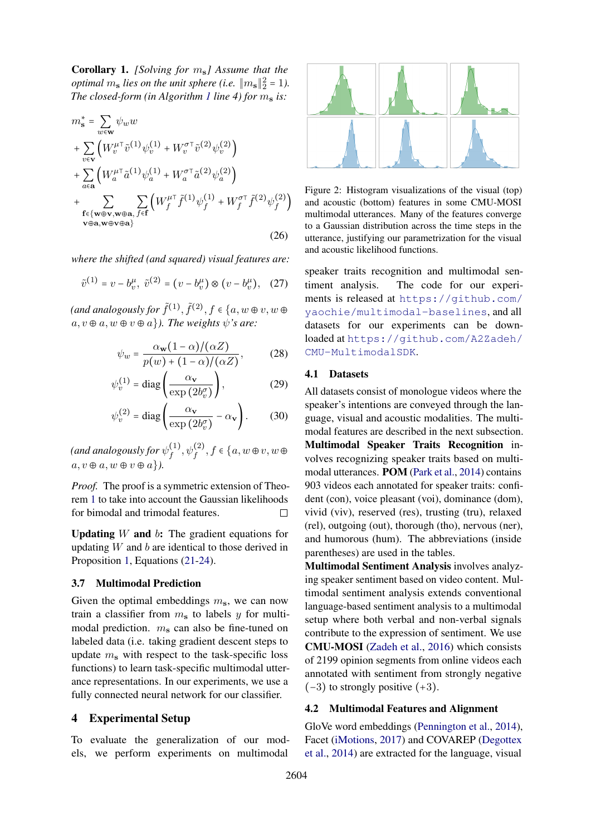<span id="page-5-1"></span>Corollary 1. *[Solving for* ms*] Assume that the optimal*  $m_s$  *lies on the unit sphere (i.e.*  $||m_s||_2^2 = 1$ *). The closed-form (in Algorithm [1](#page-3-2) line 4) for*  $m_s$  *is:* 

$$
m_s^* = \sum_{w \in \mathbf{w}} \psi_w w
$$
  
+ 
$$
\sum_{v \in \mathbf{v}} \left( W_v^{\mu \top} \tilde{v}^{(1)} \psi_v^{(1)} + W_v^{\sigma \top} \tilde{v}^{(2)} \psi_v^{(2)} \right)
$$
  
+ 
$$
\sum_{a \in \mathbf{a}} \left( W_a^{\mu \top} \tilde{a}^{(1)} \psi_a^{(1)} + W_a^{\sigma \top} \tilde{a}^{(2)} \psi_a^{(2)} \right)
$$
  
+ 
$$
\sum_{\substack{\mathbf{f} \in \{\mathbf{w} \oplus \mathbf{v}, \mathbf{w} \oplus \mathbf{a}, \ f \in \mathbf{f}}} \sum_{\substack{\mathbf{f} \in \{\mathbf{w} \oplus \mathbf{v}, \mathbf{w} \oplus \mathbf{a}\} \\ \mathbf{v} \oplus \mathbf{a}, \mathbf{w} \oplus \mathbf{v} \oplus \mathbf{a}\}} \left( W_f^{\mu \top} \tilde{f}^{(1)} \psi_f^{(1)} + W_f^{\sigma \top} \tilde{f}^{(2)} \psi_f^{(2)} \right)
$$
(26)

*where the shifted (and squared) visual features are:*

$$
\tilde{v}^{(1)} = v - b_v^{\mu}, \ \tilde{v}^{(2)} = (v - b_v^{\mu}) \otimes (v - b_v^{\mu}), \quad (27)
$$

(and analogously for  $\tilde{f}^{(1)}, \tilde{f}^{(2)}, f \in \{a, w \oplus v, w \oplus v\}$  $a, v \oplus a, w \oplus v \oplus a$ *). The weights*  $\psi$ *'s are:* 

$$
\psi_w = \frac{\alpha_{\mathbf{w}}(1-\alpha)/(\alpha Z)}{p(w) + (1-\alpha)/(\alpha Z)},\tag{28}
$$

$$
\psi_v^{(1)} = \text{diag}\left(\frac{\alpha_v}{\exp(2b_v^{\sigma})}\right),\tag{29}
$$

$$
\psi_v^{(2)} = \text{diag}\left(\frac{\alpha_v}{\exp(2b_v^{\sigma})} - \alpha_v\right). \tag{30}
$$

(and analogously for  $\psi_{f}^{(1)}$  $f^{(1)}, \psi_f^{(2)}, f \in \{a, w \oplus v, w \oplus$  $a, v \oplus a, w \oplus v \oplus a$ .

*Proof.* The proof is a symmetric extension of Theorem [1](#page-3-6) to take into account the Gaussian likelihoods for bimodal and trimodal features.  $\Box$ 

**Updating** W and  $b$ : The gradient equations for updating  $W$  and  $b$  are identical to those derived in Proposition [1,](#page-4-4) Equations [\(21](#page-4-0)[-24\)](#page-4-3).

### 3.7 Multimodal Prediction

Given the optimal embeddings  $m_s$ , we can now train a classifier from  $m<sub>s</sub>$  to labels y for multimodal prediction.  $m<sub>s</sub>$  can also be fine-tuned on labeled data (i.e. taking gradient descent steps to update  $m_s$  with respect to the task-specific loss functions) to learn task-specific multimodal utterance representations. In our experiments, we use a fully connected neural network for our classifier.

### 4 Experimental Setup

To evaluate the generalization of our models, we perform experiments on multimodal

<span id="page-5-0"></span>

Figure 2: Histogram visualizations of the visual (top) and acoustic (bottom) features in some CMU-MOSI multimodal utterances. Many of the features converge to a Gaussian distribution across the time steps in the utterance, justifying our parametrization for the visual and acoustic likelihood functions.

speaker traits recognition and multimodal sentiment analysis. The code for our experiments is released at [https://github.com/](https://github.com/yaochie/multimodal-baselines) [yaochie/multimodal-baselines](https://github.com/yaochie/multimodal-baselines), and all datasets for our experiments can be downloaded at [https://github.com/A2Zadeh/](https://github.com/A2Zadeh/CMU-MultimodalSDK) [CMU-MultimodalSDK](https://github.com/A2Zadeh/CMU-MultimodalSDK).

### 4.1 Datasets

All datasets consist of monologue videos where the speaker's intentions are conveyed through the language, visual and acoustic modalities. The multimodal features are described in the next subsection. Multimodal Speaker Traits Recognition involves recognizing speaker traits based on multimodal utterances. POM [\(Park et al.,](#page-9-9) [2014\)](#page-9-9) contains 903 videos each annotated for speaker traits: confident (con), voice pleasant (voi), dominance (dom), vivid (viv), reserved (res), trusting (tru), relaxed (rel), outgoing (out), thorough (tho), nervous (ner), and humorous (hum). The abbreviations (inside parentheses) are used in the tables.

Multimodal Sentiment Analysis involves analyzing speaker sentiment based on video content. Multimodal sentiment analysis extends conventional language-based sentiment analysis to a multimodal setup where both verbal and non-verbal signals contribute to the expression of sentiment. We use CMU-MOSI [\(Zadeh et al.,](#page-10-6) [2016\)](#page-10-6) which consists of 2199 opinion segments from online videos each annotated with sentiment from strongly negative  $(-3)$  to strongly positive  $(+3)$ .

#### 4.2 Multimodal Features and Alignment

GloVe word embeddings [\(Pennington et al.,](#page-9-18) [2014\)](#page-9-18), Facet [\(iMotions,](#page-9-19) [2017\)](#page-9-19) and COVAREP [\(Degottex](#page-8-11) [et al.,](#page-8-11) [2014\)](#page-8-11) are extracted for the language, visual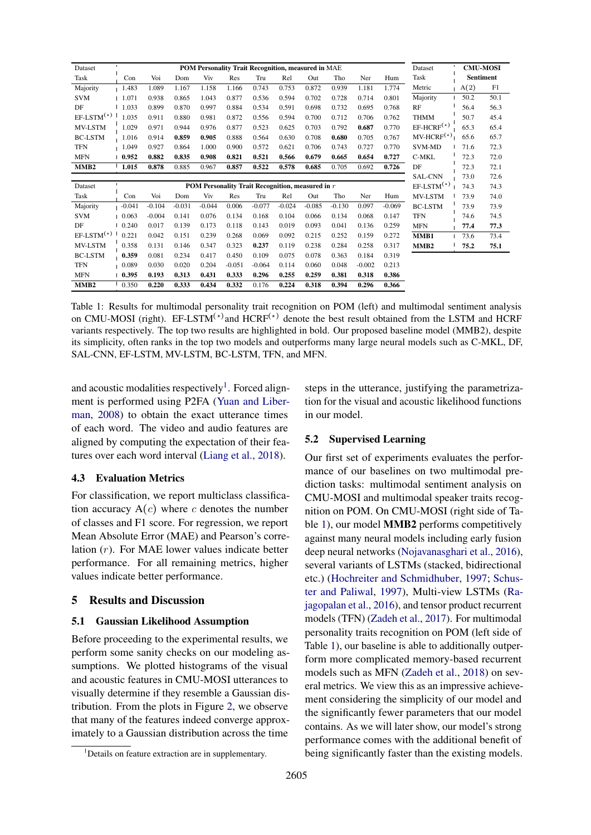<span id="page-6-2"></span>

| Dataset          | L.<br>POM Personality Trait Recognition, measured in MAE |          |          |          |          |          | Dataset  | <b>CMU-MOSI</b> |              |          |          |                  |                  |      |
|------------------|----------------------------------------------------------|----------|----------|----------|----------|----------|----------|-----------------|--------------|----------|----------|------------------|------------------|------|
| Task             | Con                                                      | Voi      | Dom      | Viv      | Res      | Tru      | Rel      | Out             | Tho          | Ner      | Hum      | Task             | <b>Sentiment</b> |      |
| Majority         | 1.483                                                    | 1.089    | 1.167    | 1.158    | 1.166    | 0.743    | 0.753    | 0.872           | 0.939        | 1.181    | 1.774    | Metric           | A(2)             | F1   |
| <b>SVM</b>       | 1.071                                                    | 0.938    | 0.865    | 1.043    | 0.877    | 0.536    | 0.594    | 0.702           | 0.728        | 0.714    | 0.801    | Majority         | 50.2             | 50.1 |
| DF               | 1.033                                                    | 0.899    | 0.870    | 0.997    | 0.884    | 0.534    | 0.591    | 0.698           | 0.732        | 0.695    | 0.768    | RF               | 56.4             | 56.3 |
| $EF-LSTM(*)$     | 1.035                                                    | 0.911    | 0.880    | 0.981    | 0.872    | 0.556    | 0.594    | 0.700           | 0.712        | 0.706    | 0.762    | <b>THMM</b>      | 50.7             | 45.4 |
| MV-LSTM          | 1.029                                                    | 0.971    | 0.944    | 0.976    | 0.877    | 0.523    | 0.625    | 0.703           | 0.792        | 0.687    | 0.770    | $EF-HCRF^{(*)}$  | 65.3             | 65.4 |
| <b>BC-LSTM</b>   | 1.016                                                    | 0.914    | 0.859    | 0.905    | 0.888    | 0.564    | 0.630    | 0.708           | 0.680        | 0.705    | 0.767    | $MV-HCRF(*)$     | 65.6             | 65.7 |
| <b>TFN</b>       | 1.049                                                    | 0.927    | 0.864    | 1.000    | 0.900    | 0.572    | 0.621    | 0.706           | 0.743        | 0.727    | 0.770    | <b>SVM-MD</b>    | 71.6             | 72.3 |
| <b>MFN</b>       | 0.952                                                    | 0.882    | 0.835    | 0.908    | 0.821    | 0.521    | 0.566    | 0.679           | 0.665        | 0.654    | 0.727    | C-MKL            | 72.3             | 72.0 |
| MMB <sub>2</sub> | 1.015                                                    | 0.878    | 0.885    | 0.967    | 0.857    | 0.522    | 0.578    | 0.685           | 0.705        | 0.692    | 0.726    | DF               | 72.3             | 72.1 |
|                  |                                                          |          |          |          |          |          |          |                 |              |          |          | <b>SAL-CNN</b>   | 73.0             | 72.6 |
| Dataset          | ٠<br>POM Personality Trait Recognition, measured in r    |          |          |          |          |          |          |                 | $EF-LSTM(*)$ | 74.3     | 74.3     |                  |                  |      |
| Task             | Con                                                      | Voi      | Dom      | Viv      | Res      | Tru      | Rel      | Out             | Tho          | Ner      | Hum      | MV-LSTM          | 73.9             | 74.0 |
| Majority         | $-0.041$                                                 | $-0.104$ | $-0.031$ | $-0.044$ | 0.006    | $-0.077$ | $-0.024$ | $-0.085$        | $-0.130$     | 0.097    | $-0.069$ | <b>BC-LSTM</b>   | 73.9             | 73.9 |
| <b>SVM</b>       | 0.063                                                    | $-0.004$ | 0.141    | 0.076    | 0.134    | 0.168    | 0.104    | 0.066           | 0.134        | 0.068    | 0.147    | <b>TFN</b>       | 74.6             | 74.5 |
| DF               | 0.240                                                    | 0.017    | 0.139    | 0.173    | 0.118    | 0.143    | 0.019    | 0.093           | 0.041        | 0.136    | 0.259    | <b>MFN</b>       | 77.4             | 77.3 |
| $EF-LSTM^{(*)}$  | 0.221                                                    | 0.042    | 0.151    | 0.239    | 0.268    | 0.069    | 0.092    | 0.215           | 0.252        | 0.159    | 0.272    | MMB1             | 73.6             | 73.4 |
| MV-LSTM          | 0.358                                                    | 0.131    | 0.146    | 0.347    | 0.323    | 0.237    | 0.119    | 0.238           | 0.284        | 0.258    | 0.317    | MMB <sub>2</sub> | 75.2             | 75.1 |
| <b>BC-LSTM</b>   | 0.359                                                    | 0.081    | 0.234    | 0.417    | 0.450    | 0.109    | 0.075    | 0.078           | 0.363        | 0.184    | 0.319    |                  |                  |      |
| <b>TFN</b>       | 0.089                                                    | 0.030    | 0.020    | 0.204    | $-0.051$ | $-0.064$ | 0.114    | 0.060           | 0.048        | $-0.002$ | 0.213    |                  |                  |      |
| <b>MFN</b>       | 0.395                                                    | 0.193    | 0.313    | 0.431    | 0.333    | 0.296    | 0.255    | 0.259           | 0.381        | 0.318    | 0.386    |                  |                  |      |
| MMB <sub>2</sub> | 0.350                                                    | 0.220    | 0.333    | 0.434    | 0.332    | 0.176    | 0.224    | 0.318           | 0.394        | 0.296    | 0.366    |                  |                  |      |

Table 1: Results for multimodal personality trait recognition on POM (left) and multimodal sentiment analysis on CMU-MOSI (right). EF-LSTM<sup>(\*)</sup> and HCRF<sup>(\*)</sup> denote the best result obtained from the LSTM and HCRF variants respectively. The top two results are highlighted in bold. Our proposed baseline model (MMB2), despite its simplicity, often ranks in the top two models and outperforms many large neural models such as C-MKL, DF, SAL-CNN, EF-LSTM, MV-LSTM, BC-LSTM, TFN, and MFN.

and acoustic modalities respectively<sup>[1](#page-6-1)</sup>. Forced alignment is performed using P2FA [\(Yuan and Liber](#page-10-15)[man,](#page-10-15) [2008\)](#page-10-15) to obtain the exact utterance times of each word. The video and audio features are aligned by computing the expectation of their features over each word interval [\(Liang et al.,](#page-9-8) [2018\)](#page-9-8).

### 4.3 Evaluation Metrics

For classification, we report multiclass classification accuracy  $A(c)$  where c denotes the number of classes and F1 score. For regression, we report Mean Absolute Error (MAE) and Pearson's correlation (r). For MAE lower values indicate better performance. For all remaining metrics, higher values indicate better performance.

### 5 Results and Discussion

### <span id="page-6-0"></span>5.1 Gaussian Likelihood Assumption

Before proceeding to the experimental results, we perform some sanity checks on our modeling assumptions. We plotted histograms of the visual and acoustic features in CMU-MOSI utterances to visually determine if they resemble a Gaussian distribution. From the plots in Figure [2,](#page-5-0) we observe that many of the features indeed converge approximately to a Gaussian distribution across the time steps in the utterance, justifying the parametrization for the visual and acoustic likelihood functions in our model.

### 5.2 Supervised Learning

Our first set of experiments evaluates the performance of our baselines on two multimodal prediction tasks: multimodal sentiment analysis on CMU-MOSI and multimodal speaker traits recognition on POM. On CMU-MOSI (right side of Table [1\)](#page-6-2), our model MMB2 performs competitively against many neural models including early fusion deep neural networks [\(Nojavanasghari et al.,](#page-9-20) [2016\)](#page-9-20), several variants of LSTMs (stacked, bidirectional etc.) [\(Hochreiter and Schmidhuber,](#page-9-10) [1997;](#page-9-10) [Schus](#page-10-16)[ter and Paliwal,](#page-10-16) [1997\)](#page-10-16), Multi-view LSTMs [\(Ra](#page-9-14)[jagopalan et al.,](#page-9-14) [2016\)](#page-9-14), and tensor product recurrent models (TFN) [\(Zadeh et al.,](#page-10-5) [2017\)](#page-10-5). For multimodal personality traits recognition on POM (left side of Table [1\)](#page-6-2), our baseline is able to additionally outperform more complicated memory-based recurrent models such as MFN [\(Zadeh et al.,](#page-10-17) [2018\)](#page-10-17) on several metrics. We view this as an impressive achievement considering the simplicity of our model and the significantly fewer parameters that our model contains. As we will later show, our model's strong performance comes with the additional benefit of being significantly faster than the existing models.

<span id="page-6-1"></span><sup>&</sup>lt;sup>1</sup>Details on feature extraction are in supplementary.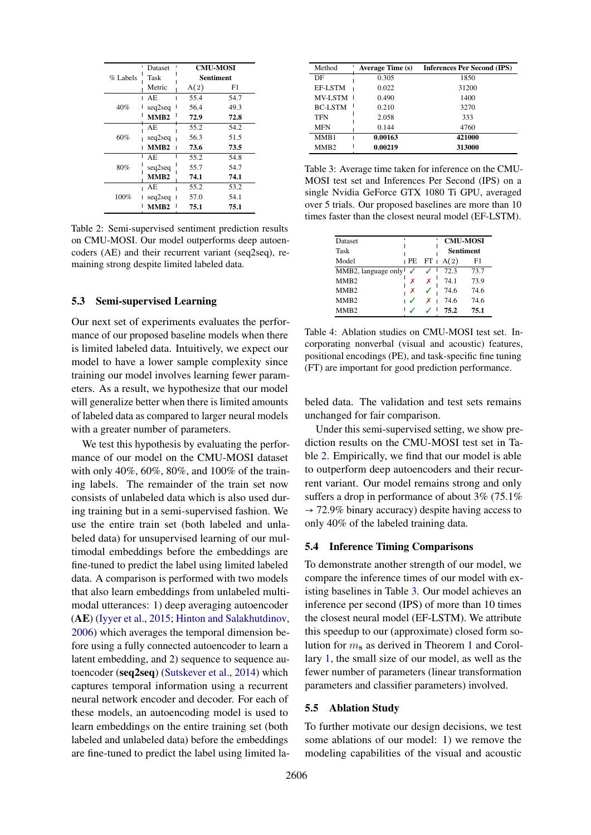<span id="page-7-0"></span>

|          | <b>Dataset</b>   | <b>CMU-MOSI</b> |      |  |  |
|----------|------------------|-----------------|------|--|--|
| % Labels | Task             | Sentiment       |      |  |  |
|          | Metric           | A(2)            | F1   |  |  |
|          | AE               | 55.4            | 54.7 |  |  |
| 40%      | seq2seq          | 56.4            | 49.3 |  |  |
|          | MMR <sub>2</sub> | 72.9            | 72.8 |  |  |
|          | AE.              | 55.2            | 54.2 |  |  |
| 60%      | seq2seq          | 56.3            | 51.5 |  |  |
|          | MMR <sub>2</sub> | 73.6            | 73.5 |  |  |
|          | AE.              | 55.2            | 54.8 |  |  |
| 80%      | seq2seq          | 55.7            | 54.7 |  |  |
|          | MMB <sub>2</sub> | 74.1            | 74.1 |  |  |
|          | АE               | 55.2            | 53.2 |  |  |
| 100%     | seq2seq          | 57.0            | 54.1 |  |  |
|          | MMB2             | 75.1            | 75.1 |  |  |

Table 2: Semi-supervised sentiment prediction results on CMU-MOSI. Our model outperforms deep autoencoders (AE) and their recurrent variant (seq2seq), remaining strong despite limited labeled data.

### 5.3 Semi-supervised Learning

Our next set of experiments evaluates the performance of our proposed baseline models when there is limited labeled data. Intuitively, we expect our model to have a lower sample complexity since training our model involves learning fewer parameters. As a result, we hypothesize that our model will generalize better when there is limited amounts of labeled data as compared to larger neural models with a greater number of parameters.

We test this hypothesis by evaluating the performance of our model on the CMU-MOSI dataset with only 40%, 60%, 80%, and 100% of the training labels. The remainder of the train set now consists of unlabeled data which is also used during training but in a semi-supervised fashion. We use the entire train set (both labeled and unlabeled data) for unsupervised learning of our multimodal embeddings before the embeddings are fine-tuned to predict the label using limited labeled data. A comparison is performed with two models that also learn embeddings from unlabeled multimodal utterances: 1) deep averaging autoencoder (AE) [\(Iyyer et al.,](#page-9-21) [2015;](#page-9-21) [Hinton and Salakhutdinov,](#page-8-12) [2006\)](#page-8-12) which averages the temporal dimension before using a fully connected autoencoder to learn a latent embedding, and 2) sequence to sequence autoencoder (seq2seq) [\(Sutskever et al.,](#page-10-18) [2014\)](#page-10-18) which captures temporal information using a recurrent neural network encoder and decoder. For each of these models, an autoencoding model is used to learn embeddings on the entire training set (both labeled and unlabeled data) before the embeddings are fine-tuned to predict the label using limited la-

<span id="page-7-1"></span>

| Method           | <b>Average Time (s)</b> | <b>Inferences Per Second (IPS)</b> |
|------------------|-------------------------|------------------------------------|
| DF               | 0.305                   | 1850                               |
| EF-LSTM          | 0.022                   | 31200                              |
| <b>MV-LSTM</b>   | 0.490                   | 1400                               |
| <b>BC-LSTM</b>   | 0.210                   | 3270                               |
| <b>TFN</b>       | 2.058                   | 333                                |
| <b>MFN</b>       | 0.144                   | 4760                               |
| MMB1             | 0.00163                 | 421000                             |
| MMB <sub>2</sub> | 0.00219                 | 313000                             |

Table 3: Average time taken for inference on the CMU-MOSI test set and Inferences Per Second (IPS) on a single Nvidia GeForce GTX 1080 Ti GPU, averaged over 5 trials. Our proposed baselines are more than 10 times faster than the closest neural model (EF-LSTM).

<span id="page-7-2"></span>

| Dataset             |    |        | <b>CMU-MOSI</b>  |      |  |
|---------------------|----|--------|------------------|------|--|
| Task                |    |        | <b>Sentiment</b> |      |  |
| Model               | РE | $FT +$ | A(2)             | F1   |  |
| MMB2, language only |    |        | 72.3             | 73.7 |  |
| MMB <sub>2</sub>    |    |        | 74.1             | 73.9 |  |
| MM <sub>B2</sub>    | х  |        | 74.6             | 74.6 |  |
| MM <sub>B2</sub>    |    |        | 74.6             | 74.6 |  |
| MMR2                |    |        | 75.2             | 75.1 |  |

Table 4: Ablation studies on CMU-MOSI test set. Incorporating nonverbal (visual and acoustic) features, positional encodings (PE), and task-specific fine tuning (FT) are important for good prediction performance.

beled data. The validation and test sets remains unchanged for fair comparison.

Under this semi-supervised setting, we show prediction results on the CMU-MOSI test set in Table [2.](#page-7-0) Empirically, we find that our model is able to outperform deep autoencoders and their recurrent variant. Our model remains strong and only suffers a drop in performance of about 3% (75.1%  $\rightarrow$  72.9% binary accuracy) despite having access to only 40% of the labeled training data.

#### 5.4 Inference Timing Comparisons

To demonstrate another strength of our model, we compare the inference times of our model with existing baselines in Table [3.](#page-7-1) Our model achieves an inference per second (IPS) of more than 10 times the closest neural model (EF-LSTM). We attribute this speedup to our (approximate) closed form solution for  $m_s$  as derived in Theorem [1](#page-3-6) and Corollary [1,](#page-5-1) the small size of our model, as well as the fewer number of parameters (linear transformation parameters and classifier parameters) involved.

### 5.5 Ablation Study

To further motivate our design decisions, we test some ablations of our model: 1) we remove the modeling capabilities of the visual and acoustic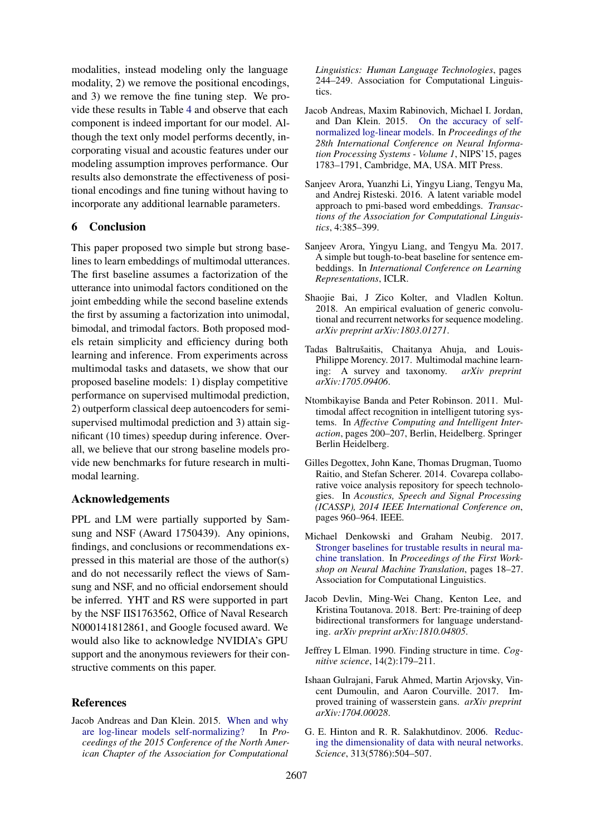modalities, instead modeling only the language modality, 2) we remove the positional encodings, and 3) we remove the fine tuning step. We provide these results in Table [4](#page-7-2) and observe that each component is indeed important for our model. Although the text only model performs decently, incorporating visual and acoustic features under our modeling assumption improves performance. Our results also demonstrate the effectiveness of positional encodings and fine tuning without having to incorporate any additional learnable parameters.

### 6 Conclusion

This paper proposed two simple but strong baselines to learn embeddings of multimodal utterances. The first baseline assumes a factorization of the utterance into unimodal factors conditioned on the joint embedding while the second baseline extends the first by assuming a factorization into unimodal, bimodal, and trimodal factors. Both proposed models retain simplicity and efficiency during both learning and inference. From experiments across multimodal tasks and datasets, we show that our proposed baseline models: 1) display competitive performance on supervised multimodal prediction, 2) outperform classical deep autoencoders for semisupervised multimodal prediction and 3) attain significant (10 times) speedup during inference. Overall, we believe that our strong baseline models provide new benchmarks for future research in multimodal learning.

## Acknowledgements

PPL and LM were partially supported by Samsung and NSF (Award 1750439). Any opinions, findings, and conclusions or recommendations expressed in this material are those of the author(s) and do not necessarily reflect the views of Samsung and NSF, and no official endorsement should be inferred. YHT and RS were supported in part by the NSF IIS1763562, Office of Naval Research N000141812861, and Google focused award. We would also like to acknowledge NVIDIA's GPU support and the anonymous reviewers for their constructive comments on this paper.

### References

<span id="page-8-9"></span>Jacob Andreas and Dan Klein. 2015. [When and why](https://doi.org/10.3115/v1/N15-1027) [are log-linear models self-normalizing?](https://doi.org/10.3115/v1/N15-1027) In *Proceedings of the 2015 Conference of the North American Chapter of the Association for Computational* *Linguistics: Human Language Technologies*, pages 244–249. Association for Computational Linguistics.

- <span id="page-8-10"></span>Jacob Andreas, Maxim Rabinovich, Michael I. Jordan, and Dan Klein. 2015. [On the accuracy of self](http://dl.acm.org/citation.cfm?id=2969239.2969438)[normalized log-linear models.](http://dl.acm.org/citation.cfm?id=2969239.2969438) In *Proceedings of the 28th International Conference on Neural Information Processing Systems - Volume 1*, NIPS'15, pages 1783–1791, Cambridge, MA, USA. MIT Press.
- <span id="page-8-8"></span>Sanjeev Arora, Yuanzhi Li, Yingyu Liang, Tengyu Ma, and Andrej Risteski. 2016. A latent variable model approach to pmi-based word embeddings. *Transactions of the Association for Computational Linguistics*, 4:385–399.
- <span id="page-8-6"></span>Sanjeev Arora, Yingyu Liang, and Tengyu Ma. 2017. A simple but tough-to-beat baseline for sentence embeddings. In *International Conference on Learning Representations*, ICLR.
- <span id="page-8-2"></span>Shaojie Bai, J Zico Kolter, and Vladlen Koltun. 2018. An empirical evaluation of generic convolutional and recurrent networks for sequence modeling. *arXiv preprint arXiv:1803.01271*.
- <span id="page-8-0"></span>Tadas Baltrušaitis, Chaitanya Ahuja, and Louis-Philippe Morency. 2017. Multimodal machine learning: A survey and taxonomy. *arXiv preprint arXiv:1705.09406*.
- <span id="page-8-1"></span>Ntombikayise Banda and Peter Robinson. 2011. Multimodal affect recognition in intelligent tutoring systems. In *Affective Computing and Intelligent Interaction*, pages 200–207, Berlin, Heidelberg. Springer Berlin Heidelberg.
- <span id="page-8-11"></span>Gilles Degottex, John Kane, Thomas Drugman, Tuomo Raitio, and Stefan Scherer. 2014. Covarepa collaborative voice analysis repository for speech technologies. In *Acoustics, Speech and Signal Processing (ICASSP), 2014 IEEE International Conference on*, pages 960–964. IEEE.
- <span id="page-8-7"></span>Michael Denkowski and Graham Neubig. 2017. [Stronger baselines for trustable results in neural ma](https://doi.org/10.18653/v1/W17-3203)[chine translation.](https://doi.org/10.18653/v1/W17-3203) In *Proceedings of the First Workshop on Neural Machine Translation*, pages 18–27. Association for Computational Linguistics.
- <span id="page-8-3"></span>Jacob Devlin, Ming-Wei Chang, Kenton Lee, and Kristina Toutanova. 2018. Bert: Pre-training of deep bidirectional transformers for language understanding. *arXiv preprint arXiv:1810.04805*.
- <span id="page-8-4"></span>Jeffrey L Elman. 1990. Finding structure in time. *Cognitive science*, 14(2):179–211.
- <span id="page-8-5"></span>Ishaan Gulrajani, Faruk Ahmed, Martin Arjovsky, Vincent Dumoulin, and Aaron Courville. 2017. Improved training of wasserstein gans. *arXiv preprint arXiv:1704.00028*.
- <span id="page-8-12"></span>G. E. Hinton and R. R. Salakhutdinov. 2006. [Reduc](https://doi.org/10.1126/science.1127647)[ing the dimensionality of data with neural networks.](https://doi.org/10.1126/science.1127647) *Science*, 313(5786):504–507.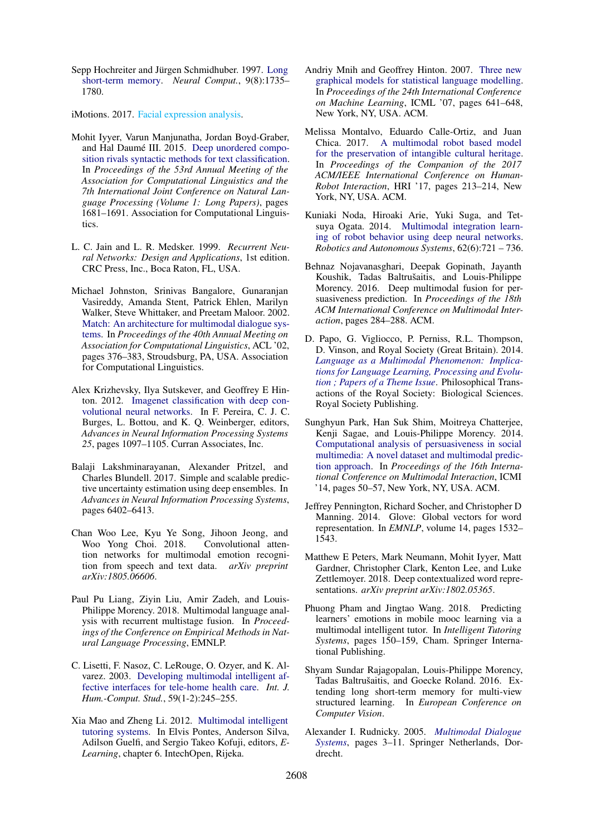<span id="page-9-10"></span>Sepp Hochreiter and Jürgen Schmidhuber. 1997. [Long](https://doi.org/10.1162/neco.1997.9.8.1735) [short-term memory.](https://doi.org/10.1162/neco.1997.9.8.1735) *Neural Comput.*, 9(8):1735– 1780.

<span id="page-9-19"></span>iMotions. 2017. [Facial expression analysis.](#page-0-1)

- <span id="page-9-21"></span>Mohit Iyyer, Varun Manjunatha, Jordan Boyd-Graber, and Hal Daumé III. 2015. [Deep unordered compo](https://doi.org/10.3115/v1/P15-1162)[sition rivals syntactic methods for text classification.](https://doi.org/10.3115/v1/P15-1162) In *Proceedings of the 53rd Annual Meeting of the Association for Computational Linguistics and the 7th International Joint Conference on Natural Language Processing (Volume 1: Long Papers)*, pages 1681–1691. Association for Computational Linguistics.
- <span id="page-9-12"></span>L. C. Jain and L. R. Medsker. 1999. *Recurrent Neural Networks: Design and Applications*, 1st edition. CRC Press, Inc., Boca Raton, FL, USA.
- <span id="page-9-3"></span>Michael Johnston, Srinivas Bangalore, Gunaranjan Vasireddy, Amanda Stent, Patrick Ehlen, Marilyn Walker, Steve Whittaker, and Preetam Maloor. 2002. [Match: An architecture for multimodal dialogue sys](https://doi.org/10.3115/1073083.1073146)[tems.](https://doi.org/10.3115/1073083.1073146) In *Proceedings of the 40th Annual Meeting on Association for Computational Linguistics*, ACL '02, pages 376–383, Stroudsburg, PA, USA. Association for Computational Linguistics.
- <span id="page-9-13"></span>Alex Krizhevsky, Ilya Sutskever, and Geoffrey E Hinton. 2012. [Imagenet classification with deep con](http://papers.nips.cc/paper/4824-imagenet-classification-with-deep-convolutional-neural-networks.pdf)[volutional neural networks.](http://papers.nips.cc/paper/4824-imagenet-classification-with-deep-convolutional-neural-networks.pdf) In F. Pereira, C. J. C. Burges, L. Bottou, and K. Q. Weinberger, editors, *Advances in Neural Information Processing Systems 25*, pages 1097–1105. Curran Associates, Inc.
- <span id="page-9-16"></span>Balaji Lakshminarayanan, Alexander Pritzel, and Charles Blundell. 2017. Simple and scalable predictive uncertainty estimation using deep ensembles. In *Advances in Neural Information Processing Systems*, pages 6402–6413.
- <span id="page-9-15"></span>Chan Woo Lee, Kyu Ye Song, Jihoon Jeong, and Woo Yong Choi. 2018. Convolutional attention networks for multimodal emotion recognition from speech and text data. *arXiv preprint arXiv:1805.06606*.
- <span id="page-9-8"></span>Paul Pu Liang, Ziyin Liu, Amir Zadeh, and Louis-Philippe Morency. 2018. Multimodal language analysis with recurrent multistage fusion. In *Proceedings of the Conference on Empirical Methods in Natural Language Processing*, EMNLP.
- <span id="page-9-7"></span>C. Lisetti, F. Nasoz, C. LeRouge, O. Ozyer, and K. Alvarez. 2003. [Developing multimodal intelligent af](https://doi.org/10.1016/S1071-5819(03)00051-X)[fective interfaces for tele-home health care.](https://doi.org/10.1016/S1071-5819(03)00051-X) *Int. J. Hum.-Comput. Stud.*, 59(1-2):245–255.
- <span id="page-9-5"></span>Xia Mao and Zheng Li. 2012. [Multimodal intelligent](https://doi.org/10.5772/29041) [tutoring systems.](https://doi.org/10.5772/29041) In Elvis Pontes, Anderson Silva, Adilson Guelfi, and Sergio Takeo Kofuji, editors, *E-Learning*, chapter 6. IntechOpen, Rijeka.
- <span id="page-9-17"></span>Andriy Mnih and Geoffrey Hinton. 2007. [Three new](https://doi.org/10.1145/1273496.1273577) [graphical models for statistical language modelling.](https://doi.org/10.1145/1273496.1273577) In *Proceedings of the 24th International Conference on Machine Learning*, ICML '07, pages 641–648, New York, NY, USA. ACM.
- <span id="page-9-1"></span>Melissa Montalvo, Eduardo Calle-Ortiz, and Juan Chica. 2017. [A multimodal robot based model](https://doi.org/10.1145/3029798.3038315) [for the preservation of intangible cultural heritage.](https://doi.org/10.1145/3029798.3038315) In *Proceedings of the Companion of the 2017 ACM/IEEE International Conference on Human-Robot Interaction*, HRI '17, pages 213–214, New York, NY, USA. ACM.
- <span id="page-9-2"></span>Kuniaki Noda, Hiroaki Arie, Yuki Suga, and Tetsuya Ogata. 2014. [Multimodal integration learn](https://doi.org/https://doi.org/10.1016/j.robot.2014.03.003)[ing of robot behavior using deep neural networks.](https://doi.org/https://doi.org/10.1016/j.robot.2014.03.003) *Robotics and Autonomous Systems*, 62(6):721 – 736.
- <span id="page-9-20"></span>Behnaz Nojavanasghari, Deepak Gopinath, Jayanth Koushik, Tadas Baltrušaitis, and Louis-Philippe Morency. 2016. Deep multimodal fusion for persuasiveness prediction. In *Proceedings of the 18th ACM International Conference on Multimodal Interaction*, pages 284–288. ACM.
- <span id="page-9-0"></span>D. Papo, G. Vigliocco, P. Perniss, R.L. Thompson, D. Vinson, and Royal Society (Great Britain). 2014. *[Language as a Multimodal Phenomenon: Implica](https://books.google.ca/books?id=4JqzrQEACAAJ)[tions for Language Learning, Processing and Evolu](https://books.google.ca/books?id=4JqzrQEACAAJ)[tion ; Papers of a Theme Issue](https://books.google.ca/books?id=4JqzrQEACAAJ)*. Philosophical Transactions of the Royal Society: Biological Sciences. Royal Society Publishing.
- <span id="page-9-9"></span>Sunghyun Park, Han Suk Shim, Moitreya Chatterjee, Kenji Sagae, and Louis-Philippe Morency. 2014. [Computational analysis of persuasiveness in social](https://doi.org/10.1145/2663204.2663260) [multimedia: A novel dataset and multimodal predic](https://doi.org/10.1145/2663204.2663260)[tion approach.](https://doi.org/10.1145/2663204.2663260) In *Proceedings of the 16th International Conference on Multimodal Interaction*, ICMI '14, pages 50–57, New York, NY, USA. ACM.
- <span id="page-9-18"></span>Jeffrey Pennington, Richard Socher, and Christopher D Manning. 2014. Glove: Global vectors for word representation. In *EMNLP*, volume 14, pages 1532– 1543.
- <span id="page-9-11"></span>Matthew E Peters, Mark Neumann, Mohit Iyyer, Matt Gardner, Christopher Clark, Kenton Lee, and Luke Zettlemoyer. 2018. Deep contextualized word representations. *arXiv preprint arXiv:1802.05365*.
- <span id="page-9-6"></span>Phuong Pham and Jingtao Wang. 2018. Predicting learners' emotions in mobile mooc learning via a multimodal intelligent tutor. In *Intelligent Tutoring Systems*, pages 150–159, Cham. Springer International Publishing.
- <span id="page-9-14"></span>Shyam Sundar Rajagopalan, Louis-Philippe Morency, Tadas Baltrušaitis, and Goecke Roland. 2016. Extending long short-term memory for multi-view structured learning. In *European Conference on Computer Vision*.
- <span id="page-9-4"></span>Alexander I. Rudnicky. 2005. *[Multimodal Dialogue](https://doi.org/10.1007/1-4020-3075-4_1) [Systems](https://doi.org/10.1007/1-4020-3075-4_1)*, pages 3–11. Springer Netherlands, Dordrecht.